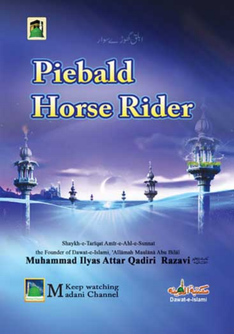



# **Piebald Horse Rider**

Shaykh-e-Tarigat Amir-e-Ahl-e-Sunnat the Founder of Dawat-e-Islami, 'Allamah Maulana Abu Bilal **Muhammad Ilyas Attar Qadiri Razavi** 



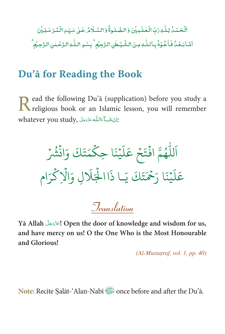ٱلۡحَمۡدُۢ لِلَّٰٰٓٓ وَبَّ الۡعَٰلَـٰٰٓٓ بِیۡنَ وَالصَّلٰوۃُۚ وَالسَّـلَامُ عَـٰلِ سَیِّـٰ الۡمُـرۡ سَلِیۡنَ اَمَّابَعۡدُٰفَاَعُوۡذُبِاللّٰهِ مِنَالشَّیۡطُنِالنَّہِمُ ۗ بِسۡوِاللّٰهِالنَّحۡلِنِالنَّحِیۡمُ

# Du'ā for Reading the Book

ead the following Du'ā (supplication) before you study a Read the tollowing Du a couppmentally and the religious book or an Islamic lesson, you will remember whatever you study, اِنْ شَكَاءَاللَّهُ عَزَّدَ جَلَ

اَللَّهُمَّ افْتَحْ عَلَيْنَا حِكْمَتَكَ وَانْشُرْ عَلَيْنَا رَحْمَتَكَ يَـا ذَاالْجَلَالِ وَالْإِكْرَام

*Iranslation* 

Yā Allah الحَزَّدَ عَلَّ Open the door of knowledge and wisdom for us, and have mercy on us! O the One Who is the Most Honourable and Glorious!

 $(Al-Mustatraf, vol. 1, pp. 40)$ 

Note: Recite Salāt-'Alan-Nabī the Du'ā.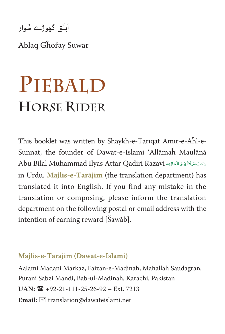َ۔<br>اَبلَق گھوڑے سُوار

Ablaq Gĥořay Suwār

# **PIEBALD HORSE RIDER**

This booklet was written by Shaykh-e-Tarīqat Amīr-e-Aĥl-e-Sunnat, the founder of Dawat-e-Islami 'Allāmaĥ Maulānā Abu Bilal Muhammad Ilyas Attar Qadiri Razavi دَامَتْ بَرَكَاتُهُمُ الْعَالِيَه Ä Ä in Urdu. **Majlis-e-Tarājim** (the translation department**)** has translated it into English. If you find any mistake in the translation or composing, please inform the translation department on the following postal or email address with the intention of earning reward [Šawāb].

#### **Majlis-e-Tarājim (Dawat-e-Islami)**

Aalami Madani Markaz, Faizan-e-Madinah, Mahallah Saudagran, Purani Sabzi Mandi, Bab-ul-Madinah, Karachi, Pakistan  $UAN: \mathbf{R}$  +92-21-111-25-26-92 – Ext. 7213 Email:  $\equiv$  translation@dawateislami.net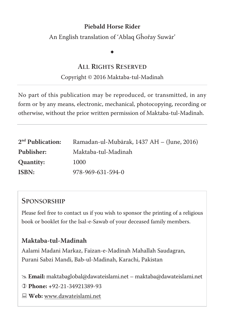#### **Piebald Horse Rider**

An English translation of 'Ablaq Gĥořay Suwār'

# $\ddot{\phantom{0}}$

#### **ALL RIGHTS RESERVED**

#### Copyright © 2016 Maktaba-tul-Madinah

No part of this publication may be reproduced, or transmitted, in any form or by any means, electronic, mechanical, photocopying, recording or otherwise, without the prior written permission of Maktaba-tul-Madinah.

| 2 <sup>nd</sup> Publication: | Ramadan-ul-Mubārak, 1437 AH – (June, 2016) |
|------------------------------|--------------------------------------------|
| Publisher:                   | Maktaba-tul-Madinah                        |
| Quantity:                    | 1000                                       |
| ISBN:                        | 978-969-631-594-0                          |

#### **SPONSORSHIP**

Please feel free to contact us if you wish to sponsor the printing of a religious book or booklet for the Isal-e-Sawab of your deceased family members.

#### **Maktaba-tul-Madinah**

Aalami Madani Markaz, Faizan-e-Madinah Mahallah Saudagran, Purani Sabzi Mandi, Bab-ul-Madinah, Karachi, Pakistan

# **Email:** maktabaglobal@dawateislami.net – maktaba@dawateislami.net

  **Phone: +**92-21-34921389-93

 **Web:** www.dawateislami.net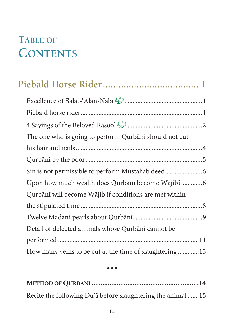# **TABLE OF CONTENTS**

| Excellence of Salāt-'Alan-Nabī                                    |  |
|-------------------------------------------------------------------|--|
|                                                                   |  |
| 4 Sayings of the Beloved Rasool <b>Samun All Accord Rasool</b> 3. |  |
| The one who is going to perform Qurbānī should not cut            |  |
|                                                                   |  |
|                                                                   |  |
|                                                                   |  |
| Upon how much wealth does Qurbānī become Wājib?6                  |  |
| Qurbānī will become Wājib if conditions are met within            |  |
|                                                                   |  |
|                                                                   |  |
| Detail of defected animals whose Qurbānī cannot be                |  |
|                                                                   |  |
| How many veins to be cut at the time of slaughtering13            |  |

 $***$ 

| Recite the following Du'a before slaughtering the animal15 |  |
|------------------------------------------------------------|--|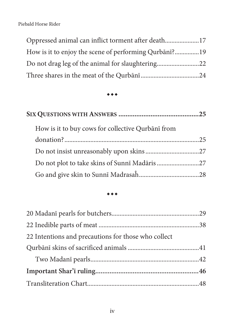| Oppressed animal can inflict torment after death17 |  |
|----------------------------------------------------|--|
|                                                    |  |
|                                                    |  |
|                                                    |  |

#### $\bullet\bullet\bullet$

| How is it to buy cows for collective Qurbānī from |  |
|---------------------------------------------------|--|
|                                                   |  |
|                                                   |  |
|                                                   |  |
|                                                   |  |

#### $\bullet\bullet\bullet$

| 22 Intentions and precautions for those who collect |  |
|-----------------------------------------------------|--|
|                                                     |  |
|                                                     |  |
|                                                     |  |
|                                                     |  |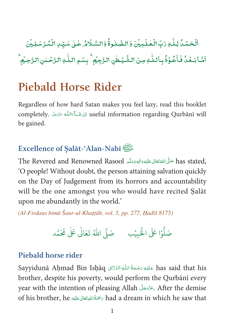ٱلۡحَمۡدُۢ لِلَّٰٰٓٓ وَبِّ الۡۡـحَلَـٰٰٓٓہِیۡنَ وَالصَّـلٰوةُۚ وَالسَّـلَامُرۡ عَـلِىٰ سَیِّـنِ الۡمُدۡسَلِیۡنَ أمَّا بَعْدُ فَأَعُوْذُ بِأَللَّٰهِ مِنَ الشَّيۡطٰنِ الرَّجِيۡم ۙ بِسۡمِ اللَّٰهِ الرَّحۡلِنِ الرَّحِيۡم

# **Piebald Horse Rider**

Regardless of how hard Satan makes you feel lazy, read this booklet completely. اِنْ شَكَاءَاللَّه عَزَدِهَلَ ompletely. اِنْ شَكَاءَاللَّه عَزَدِهَلَ be gained.

#### Excellence of Salat-'Alan-Nabī

.has stated حَلَّى اللَّهْ تَعَالَى عَلَيْهِ وَالِهِ وَسَلَّمِ The Revered and Renowned Rasool O people! Without doubt, the person attaining salvation quickly on the Day of Judgement from its horrors and accountability will be the one amongst you who would have recited Salat upon me abundantly in the world.'

(Al-Firdaus bimā Šaur-ul-Khațțāb, vol. 5, pp. 277, Hadīš 8175)

#### Piebald horse rider

Sayyidunā Ahmad Bin Ishāq عَلَيْهِ رَحْمَةُ اللَّهِ الرَّدَّاقِ Sayyidunā Ahmad Bin Ishāq brother, despite his poverty, would perform the Qurbānī every year with the intention of pleasing Allah وَعَرَّدَهَلَّ After the demise of his brother, he مَحْمَةُ اللهِ تَعَالى عَلَيْه had a dream in which he saw that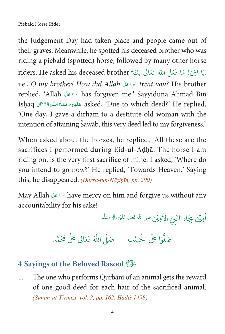the Judgement Day had taken place and people came out of their graves. Meanwhile, he spotted his deceased brother who was riding a piebald (spotted) horse, followed by many other horse riders. He asked his deceased brother (رَبَا أَخِيْ! مَا فَعَلَ اللَّهُ تَعَالَى بِكَ؟ i.e., O my brother! How did Allah عَزَّدَجَلَ treat you? His brother replied, 'Allah عَزَّدَ has forgiven me.' Sayyidunā Aḥmad Bin Ishāq عَلَيْهِ مَحْمَةُ اللَّهِ الزَّذَّاق asked, 'Due to which deed?' He replied, 'One day, I gave a dirham to a destitute old woman with the intention of attaining Šawāb, this very deed led to my forgiveness.

When asked about the horses, he replied, 'All these are the sacrifices I performed during Eid-ul-Adhā. The horse I am riding on, is the very first sacrifice of mine. I asked, 'Where do you intend to go now?' He replied, 'Towards Heaven.' Saying this, he disappeared. (Durra-tun-Nāṣiḥīn, pp. 290)

May Allah عَزَّدَ have mercy on him and forgive us without any accountability for his sake!

اْمِيْنِ بِجَاهِ النَّبِيّ الْأَمِيْنِ صَلَّى اللهُ تَعَالَىٰ عَلَيْهِ وَالِهِ وَسَلَّم

#### 4 Sayings of the Beloved Rasool

The one who performs Qurbānī of an animal gets the reward 1. of one good deed for each hair of the sacrificed animal. (Sunan-ut-Tirmizī, vol. 3, pp. 162, Hadīš 1498)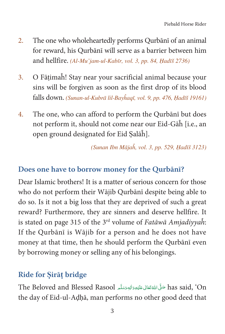- 2. The one who wholeheartedly performs Qurbānī of an animal for reward, his Qurbānī will serve as a barrier between him and hellfire. (Al-Mu'jam-ul-Kabīr, vol. 3, pp. 84, Hadīš 2736)
- 3. O Fātimaĥ! Stay near your sacrificial animal because your sins will be forgiven as soon as the first drop of its blood falls down. (Sunan-ul-Kubrā lil-Bayĥaqī, vol. 9, pp. 476, Hadīš 19161)
- 4. The one, who can afford to perform the Qurbānī but does not perform it, should not come near our Eid-Gāĥ [i.e., an open ground designated for Eid ৡalāĥ].

 $(Sunan Ibn Mājaĥ, vol. 3, pp. 529, Hadīš 3123)$ 

#### **Does one have to borrow money for the Qurbānī?**

Dear Islamic brothers! It is a matter of serious concern for those who do not perform their Wājib Qurbānī despite being able to do so. Is it not a big loss that they are deprived of such a great reward? Furthermore, they are sinners and deserve hellfire. It is stated on page 315 of the  $3<sup>rd</sup>$  volume of Fatāwā Amjadiyyah: If the Qurbānī is Wājib for a person and he does not have money at that time, then he should perform the Qurbānī even by borrowing money or selling any of his belongings.

#### **Ride for** ৡ**irā**৬**bridge**

The Beloved and Blessed Rasool حَلَّىَ اللَّهْ تَعَالَى عَلَيْهِ وَالْهِ وَسَلَّع Ç Ä È ȦÄ Ä Å the day of Eid-ul-Aḍḥā, man performs no other good deed that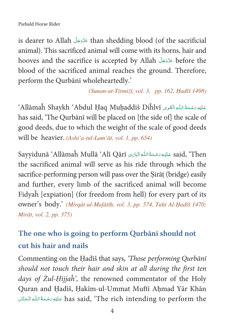is dearer to Allah  $\frac{1}{2}$  is dearer to Allah  $\frac{1}{2}$  is than shedding blood (of the sacrificial animal). This sacrificed animal will come with its horns, hair and hooves and the sacrifice is accepted by Allah المَوَّدَية before the blood of the sacrificed animal reaches the ground. Therefore, perform the Qurbānī wholeheartedly.'

(Sunan-ut-Tirmizī, vol. 3, pp. 162, Hadīš 1498)

ْ عَلَيْهِ رَحْمَةُ اللَّهِ الْقَرِى Allāmaĥ Shaykh 'Abdul Haq Muhaddiš Diĥlvī' has said, 'The Qurbānī will be placed on [the side of] the scale of good deeds, due to which the weight of the scale of good deeds will be heavier. (Ashi'a-tul-Lam'āt, vol. 1, pp. 654)

Said, 'Then عَلَيْهِ رَحْمَةُ اللَّهِ الْبَابِي Sayyidunā 'Allāmaĥ Mullā 'Alī Qārī the sacrificed animal will serve as his ride through which the sacrifice-performing person will pass over the Sirat (bridge) easily and further, every limb of the sacrificed animal will become Fidyah [expiation] (for freedom from hell) for every part of its owner's body.' (Mirqāt-ul-Mafātīh, vol. 3, pp. 574, Taht Al-Hadīš 1470; Mirāt, vol. 2, pp. 375)

# The one who is going to perform Qurbānī should not cut his hair and nails

Commenting on the Hadīš that says, 'Those performing Qurbānī should not touch their hair and skin at all during the first ten days of Żul-Hijjah', the renowned commentator of the Holy Quran and Hadīš, Hakīm-ul-Ummat Muftī Ahmad Yār Khān has said, 'The rich intending to perform the عَلَيْهِ رَحْمَةُ اللَّهِ الْحَقَّان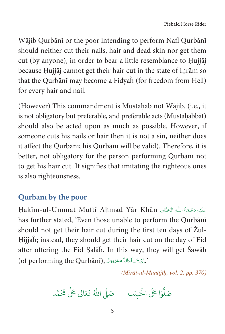Wājib Qurbānī or the poor intending to perform Nafl Qurbānī should neither cut their nails, hair and dead skin nor get them cut (by anyone), in order to bear a little resemblance to Hujiāj because Hujjāj cannot get their hair cut in the state of Ihrām so that the Qurbānī may become a Fidyah (for freedom from Hell) for every hair and nail.

(However) This commandment is Mustaḥab not Wājib. (i.e., it is not obligatory but preferable, and preferable acts (Mustaḥabbāt) should also be acted upon as much as possible. However, if someone cuts his nails or hair then it is not a sin, neither does it affect the Qurbānī; his Qurbānī will be valid). Therefore, it is better, not obligatory for the person performing Qurbānī not to get his hair cut. It signifies that imitating the righteous ones is also righteousness.

#### Qurbānī by the poor

Hakīm-ul-Ummat Muftī Ahmad Yār Khān has further stated, 'Even those unable to perform the Qurbānī should not get their hair cut during the first ten days of Zul-Hijjah; instead, they should get their hair cut on the day of Eid after offering the Eid Salah. In this way, they will get Sawab (of performing the Qurbani), أَرِّئْشَا عَاللَّهُ عَزَّدَ عَلَى الْمُسْلَمَةِ).

(Mirāt-ul-Manājīļ, vol. 2, pp. 370)

صَلُّوْا عَلَى الْحَبِيْبِ صَلَّى اللَّهُ تَعَالَٰى عَلَٰى مُحَمَّد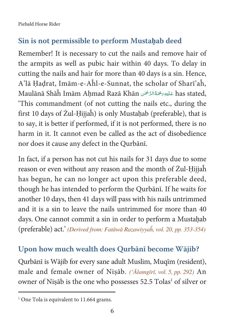Piebald Horse Rider

#### **Sin is not permissible to perform Mustahab deed**

Remember! It is necessary to cut the nails and remove hair of the armpits as well as pubic hair within 40 days. To delay in cutting the nails and hair for more than 40 days is a sin. Hence, A'lā Hadrat, Imām-e-Aĥl-e-Sunnat, the scholar of Sharī'aĥ, Maulānā Shāĥ Imām Aḥmad Razā Khān عَنْيَوَرَحْمَةُالرَّحْمَنِ has stated, Ç È ȦÄ 'This commandment (of not cutting the nails etc., during the first 10 days of Żul-Ḥijjaĥ) is only Mustaḥab (preferable), that is to say, it is better if performed, if it is not performed, there is no harm in it. It cannot even be called as the act of disobedience nor does it cause any defect in the Qurbānī.

In fact, if a person has not cut his nails for 31 days due to some reason or even without any reason and the month of Żul-Ḥijjaĥ has begun, he can no longer act upon this preferable deed, though he has intended to perform the Qurbānī. If he waits for another 10 days, then 41 days will pass with his nails untrimmed and it is a sin to leave the nails untrimmed for more than 40 days. One cannot commit a sin in order to perform a Mustahab (preferable) act.' (Derived from: Fatāwā Razawiyyah, vol. 20, pp. 353-354)

#### **Upon how much wealth does Qurbānī become Wājib?**

Qurbānī is Wājib for every sane adult Muslim, Muqīm (resident), male and female owner of Nisāb. ('Ālamgīrī, vol. 5, pp. 292) An owner of Niṣāb is the one who possesses 52.5 Tolas<sup>1</sup> of silver or

<sup>1</sup> One Tola is equivalent to 11.664 grams.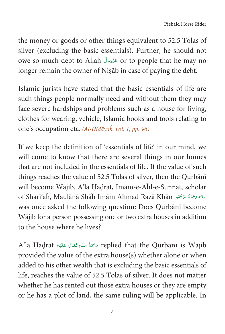the money or goods or other things equivalent to 52.5 Tolas of silver (excluding the basic essentials). Further, he should not owe so much debt to Allah حَزَّدَجَلَ or to people that he may no longer remain the owner of Nisāb in case of paying the debt.

Islamic jurists have stated that the basic essentials of life are such things people normally need and without them they may face severe hardships and problems such as a house for living, clothes for wearing, vehicle, Islamic books and tools relating to one's occupation etc.  $(Al\text{-}\hat{H}id\bar{a}\gamma a\hat{h}, vol. 1, pp. 96)$ 

If we keep the definition of 'essentials of life' in our mind, we will come to know that there are several things in our homes that are not included in the essentials of life. If the value of such things reaches the value of 52.5 Tolas of silver, then the Qurbānī will become Wājib. A'lā Hadrat, Imām-e-Aĥl-e-Sunnat, scholar of Sharī'aĥ, Maulānā Shāĥ Imām Aḥmad Razā Khān عَلَيْهِ رَحْمَةُالرَّحْمَٰن Ç È ȦÄ was once asked the following question: Does Qurbānī become Wājib for a person possessing one or two extra houses in addition to the house where he lives?

A'lā Ḥaḍrat ٱللَّهِ تَعَالَى عَلَيْه A'lā Ḥaḍrat ٱلْمُوتَعَالَى عَلَيْه Ä provided the value of the extra house(s) whether alone or when added to his other wealth that is excluding the basic essentials of life, reaches the value of 52.5 Tolas of silver. It does not matter whether he has rented out those extra houses or they are empty or he has a plot of land, the same ruling will be applicable. In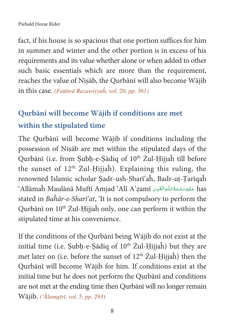fact, if his house is so spacious that one portion suffices for him in summer and winter and the other portion is in excess of his requirements and its value whether alone or when added to other such basic essentials which are more than the requirement, reaches the value of Nisāb, the Qurbānī will also become Wājib in this case. (Fatāwā Razawiyyah, vol. 20, pp. 361)

#### **Qurbānī will become Wājib if conditions are met**

#### **within the stipulated time**

The Qurbānī will become Wājib if conditions including the possession of Niৢāb are met within the stipulated days of the Qurbānī (i.e. from Subh-e-Sādiq of 10<sup>th</sup> Żul-Hijjaĥ till before the sunset of  $12<sup>th</sup>$  Zul-Hijjah). Explaining this ruling, the renowned Islamic scholar Sadr-ush-Sharī'aĥ, Badr-ut-Tarīqaĥ ʻAllāmaĥ Maulānā Muftī Amjad 'Alī A'zamī عَلَيْهِ رَحْمَةُاللّٰهِ الْقَوِى آ È ȦÄ stated in Baĥār-e-Sharī'at, 'It is not compulsory to perform the Qurbānī on 10<sup>th</sup> Żul-Ḥijjaĥ only, one can perform it within the stipulated time at his convenience.

If the conditions of the Qurbānī being Wājib do not exist at the initial time (i.e. Subh-e-Sādiq of  $10<sup>th</sup>$  Żul-Hijjaĥ) but they are met later on (i.e. before the sunset of  $12<sup>th</sup>$  Żul-Hijjaĥ) then the Qurbānī will become Wājib for him. If conditions exist at the initial time but he does not perform the Qurbānī and conditions are not met at the ending time then Qurbānī will no longer remain Wājib. ('Ālamgīrī, vol. 5, pp. 293)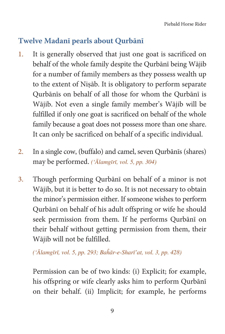#### **Twelve Madanī pearls about Qurbānī**

- 1. It is generally observed that just one goat is sacrificed on behalf of the whole family despite the Qurbānī being Wājib for a number of family members as they possess wealth up to the extent of Nisāb. It is obligatory to perform separate Qurbānīs on behalf of all those for whom the Qurbānī is Wājib. Not even a single family member's Wājib will be fulfilled if only one goat is sacrificed on behalf of the whole family because a goat does not possess more than one share. It can only be sacrificed on behalf of a specific individual.
- 2. In a single cow, (buffalo) and camel, seven Qurbānīs (shares) may be performed. ('Ālamgīrī, vol. 5, pp. 304)
- 3. Though performing Qurbānī on behalf of a minor is not Wājib, but it is better to do so. It is not necessary to obtain the minor's permission either. If someone wishes to perform Qurbānī on behalf of his adult offspring or wife he should seek permission from them. If he performs Qurbānī on their behalf without getting permission from them, their Wājib will not be fulfilled.

 $\hat{A}$ lamgīrī, vol. 5, pp. 293; Baĥār-e-Sharī'at, vol. 3, pp. 428)

Permission can be of two kinds: (i) Explicit; for example, his offspring or wife clearly asks him to perform Qurbānī on their behalf. (ii) Implicit; for example, he performs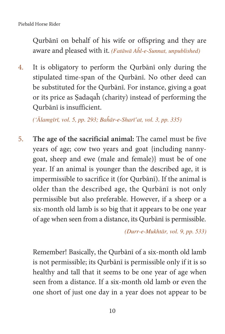Qurbānī on behalf of his wife or offspring and they are aware and pleased with it. ( $Fat\bar{a}w\bar{a}$  Ahl-e-Sunnat, unpublished)

4. It is obligatory to perform the Qurbānī only during the stipulated time-span of the Qurbānī. No other deed can be substituted for the Qurbānī. For instance, giving a goat or its price as ৡadaqaĥ (charity) instead of performing the Qurbānī is insufficient.

 $(\hat{A}$ lamgīrī, vol. 5, pp. 293; Baĥār-e-Sharī'at, vol. 3, pp. 335)

5. **The age of the sacrificial animal:** The camel must be five years of age; cow two years and goat {including nannygoat, sheep and ewe (male and female)} must be of one year. If an animal is younger than the described age, it is impermissible to sacrifice it (for Qurbānī). If the animal is older than the described age, the Qurbānī is not only permissible but also preferable. However, if a sheep or a six-month old lamb is so big that it appears to be one year of age when seen from a distance, its Qurbānī is permissible.

 $(Durr-e-Mukht\bar{a}r, vol. 9, pp. 533)$ 

Remember! Basically, the Qurbānī of a six-month old lamb is not permissible; its Qurbānī is permissible only if it is so healthy and tall that it seems to be one year of age when seen from a distance. If a six-month old lamb or even the one short of just one day in a year does not appear to be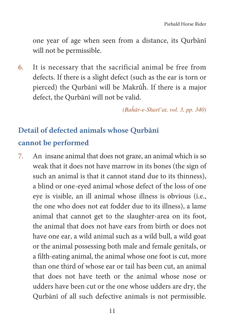one year of age when seen from a distance, its Qurbānī will not be permissible.

6. It is necessary that the sacrificial animal be free from defects. If there is a slight defect (such as the ear is torn or pierced) the Qurbānī will be Makrūĥ. If there is a major defect, the Qurbānī will not be valid.

 $(Ba\hat{h}\bar{a}r-e-Shar\vec{v}at, vol. 3, pp. 340)$ 

### **Detail of defected animals whose Qurbānī cannot be performed**

7. An insane animal that does not graze, an animal which is so weak that it does not have marrow in its bones (the sign of such an animal is that it cannot stand due to its thinness), a blind or one-eyed animal whose defect of the loss of one eye is visible, an ill animal whose illness is obvious (i.e., the one who does not eat fodder due to its illness), a lame animal that cannot get to the slaughter-area on its foot, the animal that does not have ears from birth or does not have one ear, a wild animal such as a wild bull, a wild goat or the animal possessing both male and female genitals, or a filth-eating animal, the animal whose one foot is cut, more than one third of whose ear or tail has been cut, an animal that does not have teeth or the animal whose nose or udders have been cut or the one whose udders are dry, the Qurbānī of all such defective animals is not permissible.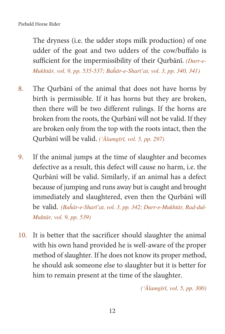The dryness (i.e. the udder stops milk production) of one udder of the goat and two udders of the cow/buffalo is sufficient for the impermissibility of their Qurbānī. (Durr-e-Mukhtār, vol. 9, pp. 535-537; Bahār-e-Sharī'at, vol. 3, pp. 340, 341)

- 8. The Qurbānī of the animal that does not have horns by birth is permissible. If it has horns but they are broken, then there will be two different rulings. If the horns are broken from the roots, the Qurbānī will not be valid. If they are broken only from the top with the roots intact, then the Qurbānī will be valid. ('Ālamgīrī, vol. 5, pp. 297)
- 9. If the animal jumps at the time of slaughter and becomes defective as a result, this defect will cause no harm, i.e. the Qurbānī will be valid. Similarly, if an animal has a defect because of jumping and runs away but is caught and brought immediately and slaughtered, even then the Qurbānī will be valid. (Bahār-e-Sharī'at, vol. 3, pp. 342; Durr-e-Mukhtār, Rad-dul-Muhtār, vol. 9, pp. 539)
- 10. It is better that the sacrificer should slaughter the animal with his own hand provided he is well-aware of the proper method of slaughter. If he does not know its proper method, he should ask someone else to slaughter but it is better for him to remain present at the time of the slaughter.

 $(\hat{Alamg\bar{t}r\bar{t}}, vol. 5, pp. 300)$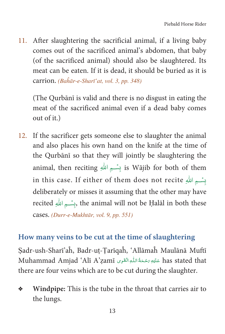After slaughtering the sacrificial animal, if a living baby 11. comes out of the sacrificed animal's abdomen, that baby (of the sacrificed animal) should also be slaughtered. Its meat can be eaten. If it is dead, it should be buried as it is carrion. (Bahār-e-Sharī'at, vol. 3, pp. 348)

(The Qurbānī is valid and there is no disgust in eating the meat of the sacrificed animal even if a dead baby comes out of it.)

12. If the sacrificer gets someone else to slaughter the animal and also places his own hand on the knife at the time of the Qurbānī so that they will jointly be slaughtering the animal, then reciting بِسْسِمِ اللَّهِ is Wājib for both of them in this case. If either of them does not recite بِسْمِ اللهِ in this deliberately or misses it assuming that the other may have recited وبسَّسِمِ اللهِ, the animal will not be Halāl in both these cases. (Durr-e-Mukhtār, vol. 9, pp. 551)

#### How many veins to be cut at the time of slaughtering

Sadr-ush-Sharī'ah, Badr-uț-Țarīqah, 'Allāmah Maulānā Muftī has stated that عَلَيْهِ رَسْحَةُ اللَّهِ الْقَوِي Muhammad Amjad 'Alī A'zamī there are four veins which are to be cut during the slaughter.

Windpipe: This is the tube in the throat that carries air to ❖ the lungs.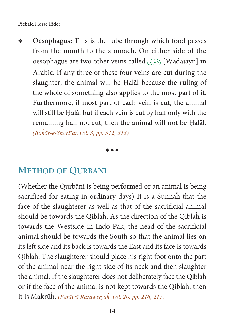**Oesophagus:** This is the tube through which food passes from the mouth to the stomach. On either side of the oesophagus are two other veins called ﴿ وَدَجَيْن [Wadajayn] in h Arabic. If any three of these four veins are cut during the slaughter, the animal will be Halāl because the ruling of the whole of something also applies to the most part of it. Furthermore, if most part of each vein is cut, the animal will still be Halāl but if each vein is cut by half only with the remaining half not cut, then the animal will not be Halāl. (Bahār-e-Sharī'at, vol. 3, pp. 312, 313)

\*\*\*

#### **METHOD OF QURBANI**

(Whether the Qurbānī is being performed or an animal is being sacrificed for eating in ordinary days) It is a Sunnaĥ that the face of the slaughterer as well as that of the sacrificial animal should be towards the Qiblaĥ. As the direction of the Qiblaĥ is towards the Westside in Indo-Pak, the head of the sacrificial animal should be towards the South so that the animal lies on its left side and its back is towards the East and its face is towards Qiblaĥ. The slaughterer should place his right foot onto the part of the animal near the right side of its neck and then slaughter the animal. If the slaughterer does not deliberately face the Qiblaĥ or if the face of the animal is not kept towards the Qiblaĥ, then it is Makrūĥ. (Fatāwā Razawiyyah, vol. 20, pp. 216, 217)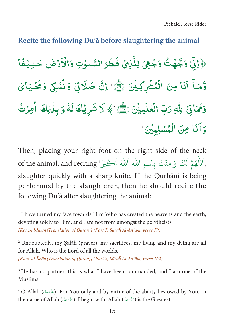#### **Recite the following Du'ā before slaughtering the animal**

﴿إِنِّ وَجَّهُتُ وَجْهِيَ لِلَّذِيْ فَطَرَ السَّمْوٰتِ وَالْاَرْضَ حَـٰدِيُفًا Ä Â Á Ä Á Ð Ä Á ½Ã وَّمَـاً أَنَا مِنَ الْمُشْرِكِيْنَ ۞ إنَّ صَلَاتِیۡ وَنُسُكِیۡ وَمَحۡـَیَایَ Ð Ð Á Ó Á Ä Á Ä Â Â Á Î. وَمَاتِيْ بِلْهِ رَبِّ الْعٰلَمِيْنَ رَبِيٍّ ۚ ﴾ لَا شَرِيُكَ لَهُ وَ بِلْلِكَ أُمِرْتُ Á Á Ì Ð Ä Ì Ä Ĉ وَأَنَا مِنَ الْمُسْلِبِينَ ۚ

Then, placing your right foot on the right side of the neck of the animal, and reciting "أَلْلُهُمْ لَكَ وَ مِنْكَ بِسْـمِ اللّٰهِ اَللّٰهُ أَكْبَرُ h ġ slaughter quickly with a sharp knife. If the Qurbānī is being performed by the slaughterer, then he should recite the following Du'ā after slaughtering the animal:

[Kanz-ul-Īmān (Translation of Ouran)] (Part 8, Sūraĥ Al-An'ām, verse 162)

<sup>&</sup>lt;sup>1</sup> I have turned my face towards Him Who has created the heavens and the earth, devoting solely to Him, and I am not from amongst the polytheists.

<sup>[</sup>Kanz-ul-Īmān (Translation of Quran)] (Part 7, Sūraĥ Al-An'ām, verse 79)

<sup>2</sup> Undoubtedly, my ৡalāĥ (prayer), my sacrifices, my living and my dying are all for Allah, Who is the Lord of all the worlds.

<sup>&</sup>lt;sup>3</sup> He has no partner; this is what I have been commanded, and I am one of the Muslims.

 $^4$  O Allah (آغزَوَجَلَ)! For You only and by virtue of the ability bestowed by You. In the name of Allah (حَدَّدَجَلَّ), I begin with. Allah (عَدَّدَجَلَ) is the Greatest.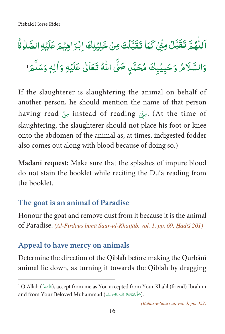# اَللَّهُمَّ تَقَبَّلُ مِنِّيُ كَمَا تَقَبَّلُتَ مِنْ خَلِيْلِكَ اِبْرَاهِيْمَ عَلَيْهِ الصَّلٰوةُ وَالسَّلَامُ وَحَبِيۡبِكَ مُحَمَّدٍ صَلَّى اللّٰهُ تَعَالٰى عَلَيۡهِ وَاٰلِهٖ وَسَلَّمَ ٰ

If the slaughterer is slaughtering the animal on behalf of another person, he should mention the name of that person having read مِنْ instead of reading مِنْ (At the time of slaughtering, the slaughterer should not place his foot or knee onto the abdomen of the animal as, at times, indigested fodder also comes out along with blood because of doing so.)

Madani request: Make sure that the splashes of impure blood do not stain the booklet while reciting the Du'a reading from the booklet.

#### The goat is an animal of Paradise

Honour the goat and remove dust from it because it is the animal of Paradise. (Al-Firdaus bimā Šaur-ul-Khaṭṭāb, vol. 1, pp. 69, Hadīš 201)

#### Appeal to have mercy on animals

Determine the direction of the Qiblah before making the Qurbānī animal lie down, as turning it towards the Qiblah by dragging

<sup>&</sup>lt;sup>1</sup> O Allah (عَزَّدَهَلَ), accept from me as You accepted from Your Khalīl (friend) Ibrāĥīm and from Your Beloved Muhammad (صَلَّى اللهُ تَعَالَى عَلَيْهِ وَاللهِ وَسَلَّمَ).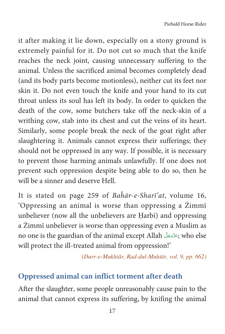it after making it lie down, especially on a stony ground is extremely painful for it. Do not cut so much that the knife reaches the neck joint, causing unnecessary suffering to the animal. Unless the sacrificed animal becomes completely dead (and its body parts become motionless), neither cut its feet nor skin it. Do not even touch the knife and your hand to its cut throat unless its soul has left its body. In order to quicken the death of the cow, some butchers take off the neck-skin of a writhing cow, stab into its chest and cut the veins of its heart. Similarly, some people break the neck of the goat right after slaughtering it. Animals cannot express their sufferings; they should not be oppressed in any way. If possible, it is necessary to prevent those harming animals unlawfully. If one does not prevent such oppression despite being able to do so, then he will be a sinner and deserve Hell.

It is stated on page 259 of Baĥār-e-Sharī'at, volume 16, 'Oppressing an animal is worse than oppressing a Żimmī unbeliever (now all the unbelievers are Harbī) and oppressing a Żimmī unbeliever is worse than oppressing even a Muslim as no one is the guardian of the animal except Allah جَنَّدَجَلَّ who else will protect the ill-treated animal from oppression!'

(Durr-e-Mukhtār, Rad-dul-Muḥtār, vol. 9, pp. 662)

#### **Oppressed animal can inflict torment after death**

After the slaughter, some people unreasonably cause pain to the animal that cannot express its suffering, by knifing the animal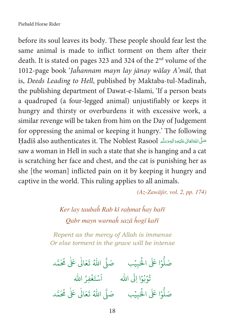before its soul leaves its body. These people should fear lest the same animal is made to inflict torment on them after their death. It is stated on pages 323 and 324 of the 2<sup>nd</sup> volume of the 1012-page book 'Jahannam mayn lay jānay wālay A'māl, that is, Deeds Leading to Hell, published by Maktaba-tul-Madīnaĥ, the publishing department of Dawat-e-Islami, 'If a person beats a quadruped (a four-legged animal) unjustifiably or keeps it hungry and thirsty or overburdens it with excessive work, a similar revenge will be taken from him on the Day of Judgement for oppressing the animal or keeping it hungry.' The following Fadīš also authenticates it. The Noblest Rasool الجوسَلَّم بالثَّاقِيَّة وَاليَّاسِيَّة بِهِ ج saw a woman in Hell in such a state that she is hanging and a cat is scratching her face and chest, and the cat is punishing her as she [the woman] inflicted pain on it by keeping it hungry and captive in the world. This ruling applies to all animals.

 $(Az-Zawājir, vol. 2, pp. 174)$ 

## Ker lay taubah Rab kī rahmat hay bařī Qabr mayn warnah sazā hogī kařī

Repent as the mercy of Allah is immense Or else torment in the grave will be intense

صَلُّوْا عَلَى الْحَبِيْبِ صَلَّى اللَّهُ تَعَالَى عَلَى مُحَمَّد تُوْبُوْا إِلَى اللهِ مَسْتَغْفِرُ الله صَلُّوْا عَلَى الْحَبِيْبِ ۚ صَلَّى اللَّهُ تَعَالٰى عَلٰى مُحَمَّد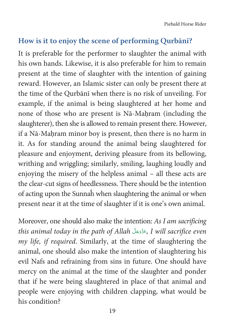Piebald Horse Rider

#### **How is it to enjoy the scene of performing Qurbānī?**

It is preferable for the performer to slaughter the animal with his own hands. Likewise, it is also preferable for him to remain present at the time of slaughter with the intention of gaining reward. However, an Islamic sister can only be present there at the time of the Qurbānī when there is no risk of unveiling. For example, if the animal is being slaughtered at her home and none of those who are present is Nā-Maḥram (including the slaughterer), then she is allowed to remain present there. However, if a Nā-Mahram minor boy is present, then there is no harm in it. As for standing around the animal being slaughtered for pleasure and enjoyment, deriving pleasure from its bellowing, writhing and wriggling; similarly, smiling, laughing loudly and enjoying the misery of the helpless animal – all these acts are the clear-cut signs of heedlessness. There should be the intention of acting upon the Sunnaĥ when slaughtering the animal or when present near it at the time of slaughter if it is one's own animal.

Moreover, one should also make the intention: As I am sacrificing this animal today in the path of Allah جَدَّدَجَلَّ, I will sacrifice even my life, if required. Similarly, at the time of slaughtering the animal, one should also make the intention of slaughtering his evil Nafs and refraining from sins in future. One should have mercy on the animal at the time of the slaughter and ponder that if he were being slaughtered in place of that animal and people were enjoying with children clapping, what would be his condition?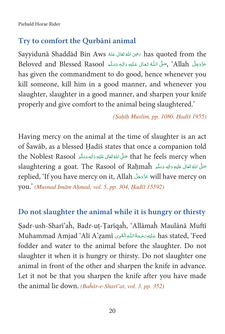Piebald Horse Rider

#### Try to comfort the Ourbānī animal

Sayyidunā Shaddād Bin Aws رَضِىَ اللهُ تَعَالَى عَنْهُ Kas quoted from the عَزَّدَ جَلِّ Allah' , صَلَّى اللَّهُ تَعَالَى عَلَيْهِ وَالِهِ وَسَلَّمِ Beloved and Blessed Rasool has given the commandment to do good, hence whenever you kill someone, kill him in a good manner, and whenever you slaughter, slaughter in a good manner, and sharpen your knife properly and give comfort to the animal being slaughtered.'

#### (Şahīh Muslim, pp. 1080, Hadīš 1955)

Having mercy on the animal at the time of slaughter is an act of Šawāb, as a blessed Hadīš states that once a companion told that he feels mercy when صَلَّى اللَّهُ تَعَالَى عَلَيْهِ وَاللهِ وَسَلَّعِ that he feels mercy when slaughtering a goat. The Rasool of Rahmah حَلَّى اللهُ تَعَالى عَلَيْهِ وَالِهِ وَسَلَّمَ replied, 'If you have mercy on it, Allah عَزَّدَجَلَّ will have mercy on you.' (Musnad Imām Aḥmad, vol. 5, pp. 304, Hadīš 15592)

#### Do not slaughter the animal while it is hungry or thirsty

Sadr-ush-Sharī'ah, Badr-ut-Tarīqah, 'Allāmah Maulānā Muftī has stated, 'Feed عَلَيْهِ صَحَةُاللَّهِ الْقَوِى Muhammad Amjad 'Alī A'zamī fodder and water to the animal before the slaughter. Do not slaughter it when it is hungry or thirsty. Do not slaughter one animal in front of the other and sharpen the knife in advance. Let it not be that you sharpen the knife after you have made the animal lie down. (Bahār-e-Sharī'at, vol. 3, pp. 352)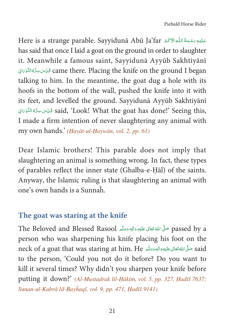Here is a strange parable. Sayyidunā Abū Ja'far حَلَيْهِ رَحْمَةُ اللَّهِ الْآَكُمَ Here is a strange parable. Sayyidunā Abū Ja'far has said that once I laid a goat on the ground in order to slaughter it. Meanwhile a famous saint, Sayyidunā Ayyūb Sakhtiyānī came there. Placing the knife on the ground I began قُدِّسَ سِرُّهُ التُّوْيَانِي talking to him. In the meantime, the goat dug a hole with its hoofs in the bottom of the wall, pushed the knife into it with its feet, and levelled the ground. Sayyidunā Ayyūb Sakhtiyānī يُوَّسَ سِرُّهُ النُّوْرَانِ said, 'Look! What the goat has done!' Seeing this, I made a firm intention of never slaughtering any animal with my own hands.' (Hayāt-ul-Haywān, vol. 2, pp. 61)

Dear Islamic brothers! This parable does not imply that slaughtering an animal is something wrong. In fact, these types of parables reflect the inner state (Ghalba-e-Hal) of the saints. Anyway, the Islamic ruling is that slaughtering an animal with one's own hands is a Sunnah.

#### The goat was staring at the knife

The Beloved and Blessed Rasool حَلَّى اللهُ تَعَالَى عَلَيْهِ وَاللهِ وَسَلَّمِ The Beloved and Blessed Rasool person who was sharpening his knife placing his foot on the neck of a goat that was staring at him. He حَلَّى اللهُ تَعَالى عَلَيْهِ وَاللهِ وَسَلَّم عَلَيْهِ وَاللهِ وَس to the person, 'Could you not do it before? Do you want to kill it several times? Why didn't you sharpen your knife before putting it down?' (Al-Mustadrak lil-Hākim, vol. 5, pp. 327, Hadīš 7637; Sunan-ul-Kubrā lil-Bayhaqī, vol. 9, pp. 471, Hadīš 9141)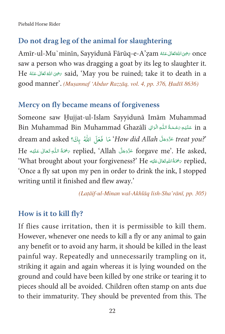Piebald Horse Rider

#### Do not drag leg of the animal for slaughtering

Once رَضِى اللهُ تَعَالَى عَنْهُ Amir-ul-Mu`minin, Sayyidunā Fārūq-e-A'zam saw a person who was dragging a goat by its leg to slaughter it. He نَضِىَ اللَّهُ تَعَالَى عَنْهُ He نَضِيَ اللَّهُ تَعَالَى عَنْهُ He نَوْسَىَ اللَّهُ تَعَالَى عَنْهُ good manner'. (Muşannaf 'Abdur Razzāg, vol. 4, pp. 376, Hadīš 8636)

#### Mercy on fly became means of forgiveness

Someone saw Hujjat-ul-Islam Sayyidunā Imām Muhammad in a عَلَيْهِ رَحْمَةُ اللَّهِ الْوَالِي Bin Muhammad Bin Muhammad Ghazālī "dream and asked ؟ مَا فَعَلَ اللَّهُ بِكَ؟ How did Allah عَدَّدَ freat you He asked, `Allah عَزَّدَجَلَّ replied, `Allah مَحْمَةُ اللَّهِ تَعَالَى عَلَيْهِ He 'What brought about your forgiveness?' He مَحْمَةُ اللهِ تَعَالى عَلَيْه Feplied, 'Once a fly sat upon my pen in order to drink the ink, I stopped writing until it finished and flew away.'

(Lațāif-ul-Minan wal-Akhlāq lish-Sha'rānī, pp. 305)

#### How is it to kill fly?

If flies cause irritation, then it is permissible to kill them. However, whenever one needs to kill a fly or any animal to gain any benefit or to avoid any harm, it should be killed in the least painful way. Repeatedly and unnecessarily trampling on it, striking it again and again whereas it is lying wounded on the ground and could have been killed by one strike or tearing it to pieces should all be avoided. Children often stamp on ants due to their immaturity. They should be prevented from this. The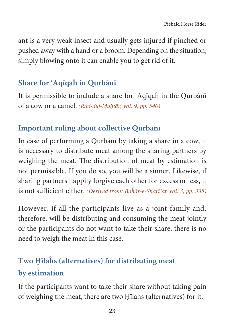ant is a very weak insect and usually gets injured if pinched or pushed away with a hand or a broom. Depending on the situation, simply blowing onto it can enable you to get rid of it.

#### **Share for 'Aqīqaĥ in Qurbānī**

It is permissible to include a share for 'Aqīqaĥ in the Qurbānī of a cow or a camel. (Rad-dul-Muḥtār, vol. 9, pp. 540)

#### **Important ruling about collective Qurbānī**

In case of performing a Qurbānī by taking a share in a cow, it is necessary to distribute meat among the sharing partners by weighing the meat. The distribution of meat by estimation is not permissible. If you do so, you will be a sinner. Likewise, if sharing partners happily forgive each other for excess or less, it is not sufficient either. (Derived from: Bahār-e-Sharī'at, vol. 3, pp. 335)

However, if all the participants live as a joint family and, therefore, will be distributing and consuming the meat jointly or the participants do not want to take their share, there is no need to weigh the meat in this case.

# **Two** ণ**īlaĥs (alternatives) for distributing meat by estimation**

If the participants want to take their share without taking pain of weighing the meat, there are two ণīlaĥs (alternatives) for it.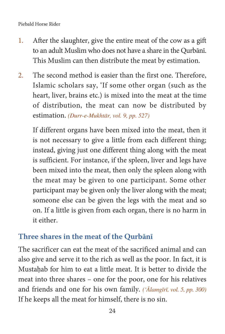- 1. After the slaughter, give the entire meat of the cow as a gift to an adult Muslim who does not have a share in the Qurbānī. This Muslim can then distribute the meat by estimation.
- 2. The second method is easier than the first one. Therefore, Islamic scholars say, 'If some other organ (such as the heart, liver, brains etc.) is mixed into the meat at the time of distribution, the meat can now be distributed by estimation. (Durr-e-Mukhtār, vol. 9, pp. 527)

If different organs have been mixed into the meat, then it is not necessary to give a little from each different thing; instead, giving just one different thing along with the meat is sufficient. For instance, if the spleen, liver and legs have been mixed into the meat, then only the spleen along with the meat may be given to one participant. Some other participant may be given only the liver along with the meat; someone else can be given the legs with the meat and so on. If a little is given from each organ, there is no harm in it either.

#### **Three shares in the meat of the Qurbānī**

The sacrificer can eat the meat of the sacrificed animal and can also give and serve it to the rich as well as the poor. In fact, it is Mustahab for him to eat a little meat. It is better to divide the meat into three shares – one for the poor, one for his relatives and friends and one for his own family.  $(Alamg\bar{r}\bar{r}, vol. 5, pp. 300)$ If he keeps all the meat for himself, there is no sin.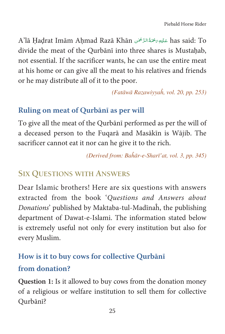A'lā Ḥaḍrat Imām Aḥmad Razā Khān عَلَيْهِ رَحْمَةُ الرَّحْمَنِ has said: To divide the meat of the Qurbānī into three shares is Mustahab, not essential. If the sacrificer wants, he can use the entire meat at his home or can give all the meat to his relatives and friends or he may distribute all of it to the poor.

(Fatāwā Razawiyyah, vol. 20, pp. 253)

#### Ruling on meat of Qurbānī as per will

To give all the meat of the Qurbānī performed as per the will of a deceased person to the Fuqarā and Masākīn is Wājib. The sacrificer cannot eat it nor can he give it to the rich.

(Derived from: Bahār-e-Sharī'at, vol. 3, pp. 345)

#### **SIX OUESTIONS WITH ANSWERS**

Dear Islamic brothers! Here are six questions with answers extracted from the book 'Questions and Answers about Donations' published by Maktaba-tul-Madīnah, the publishing department of Dawat-e-Islami. The information stated below is extremely useful not only for every institution but also for every Muslim.

#### How is it to buy cows for collective Ourbani

#### from donation?

Question 1: Is it allowed to buy cows from the donation money of a religious or welfare institution to sell them for collective Ourbānī?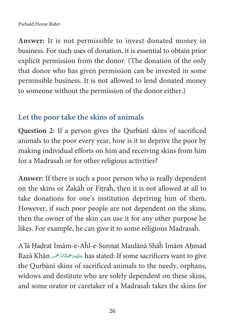#### Piebald Horse Rider

**Answer:** It is not permissible to invest donated money in business. For such uses of donation, it is essential to obtain prior explicit permission from the donor. (The donation of the only that donor who has given permission can be invested in some permissible business. It is not allowed to lend donated money to someone without the permission of the donor either.)

#### **Let the poor take the skins of animals**

**Question 2:** If a person gives the Qurbānī skins of sacrificed animals to the poor every year, how is it to deprive the poor by making individual efforts on him and receiving skins from him for a Madrasaĥ or for other religious activities?

**Answer:** If there is such a poor person who is really dependent on the skins or Zakāĥ or Fitraĥ, then it is not allowed at all to take donations for one's institution depriving him of them. However, if such poor people are not dependent on the skins, then the owner of the skin can use it for any other purpose he likes. For example, he can give it to some religious Madrasaĥ.

A'lā Ḥaḍrat Imām-e-Aĥl-e-Sunnat Maulānā Shāĥ Imām Aḥmad Razā Khān عَلَيْهِرَ جُمَةُالرَّحْمَنِ has stated: If some sacrificers want to give Ç È ȦÄ the Qurbānī skins of sacrificed animals to the needy, orphans, widows and destitute who are solely dependent on these skins, and some orator or caretaker of a Madrasaĥ takes the skins for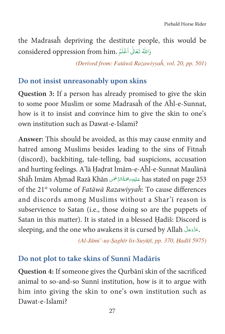the Madrasah depriving the destitute people, this would be considered oppression from him. وَاللَّهُ تَعَالَىٰ اَعْلَمُ

(Derived from: Fatāwā Razawiyyah, vol. 20, pp. 501)

#### Do not insist unreasonably upon skins

Question 3: If a person has already promised to give the skin to some poor Muslim or some Madrasah of the Ahl-e-Sunnat, how is it to insist and convince him to give the skin to one's own institution such as Dawat-e-Islami?

Answer: This should be avoided, as this may cause enmity and hatred among Muslims besides leading to the sins of Fitnah (discord), backbiting, tale-telling, bad suspicions, accusation and hurting feelings. A'lā Hadrat Imām-e-Aĥl-e-Sunnat Maulānā Shāĥ Imām Ahmad Razā Khān عَلَيْهِمَ مُحَمَّالرَّ مُحَمَّلِ has stated on page 253 of the 21<sup>st</sup> volume of Fatāwā Razawiyyah: To cause differences and discords among Muslims without a Shar'i reason is subservience to Satan (i.e., those doing so are the puppets of Satan in this matter). It is stated in a blessed Hadīš: Discord is sleeping, and the one who awakens it is cursed by Allah <a>.</a>35</a>.

(Al-Jāmi'-us-Saghīr lis-Suyūtī, pp. 370, Hadīš 5975)

#### Do not plot to take skins of Sunni Madāris

Question 4: If someone gives the Qurbani skin of the sacrificed animal to so-and-so Sunni institution, how is it to argue with him into giving the skin to one's own institution such as Dawat-e-Islami?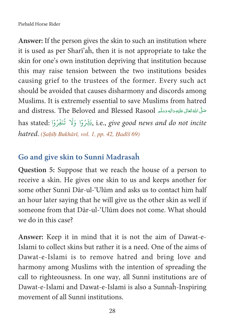**Answer:** If the person gives the skin to such an institution where it is used as per Sharī'aĥ, then it is not appropriate to take the skin for one's own institution depriving that institution because this may raise tension between the two institutions besides causing grief to the trustees of the former. Every such act should be avoided that causes disharmony and discords among Muslims. It is extremely essential to save Muslims from hatred and distress. The Beloved and Blessed Rasool عَلَيُّ اللَّهُ تَعَانَى عَلَيْهِ وَالْهِ وَسَلَّہَ ا Ç Ä Ä È ȦÄ Ä Å has stated: کِؿِّرُوْا ۖ وَلَا تُنَفِّرُوْا ), i.e., give good news and do not incite û j k h i hatred. (Sahīh Bukhārī, vol. 1, pp. 42, Hadīš 69)

#### **Go and give skin to Sunnī Madrasaĥ**

**Question 5:** Suppose that we reach the house of a person to receive a skin. He gives one skin to us and keeps another for some other Sunnī Dār-ul-'Ulūm and asks us to contact him half an hour later saying that he will give us the other skin as well if someone from that Dār-ul-'Ulūm does not come. What should we do in this case?

**Answer:** Keep it in mind that it is not the aim of Dawat-e-Islami to collect skins but rather it is a need. One of the aims of Dawat-e-Islami is to remove hatred and bring love and harmony among Muslims with the intention of spreading the call to righteousness. In one way, all Sunnī institutions are of Dawat-e-Islami and Dawat-e-Islami is also a Sunnaĥ-Inspiring movement of all Sunnī institutions.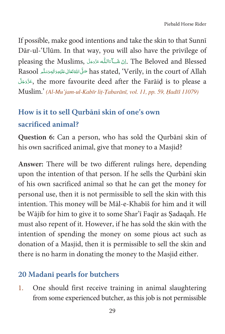If possible, make good intentions and take the skin to that Sunni Dār-ul-'Ulūm. In that way, you will also have the privilege of pleasing the Muslims, إِنْ شَكَّ ءَاللَّه عَزَّدَهَلَ The Beloved and Blessed Rasool مَلَّى اللَّهُ تَعَالى عَلَيْهِ وَالِهِ وَسَلَّمِ has stated, 'Verily, in the court of Allah جَزَّدَبَّل the more favourite deed after the Farāiḍ is to please a Muslim.' (Al-Mu'jam-ul-Kabīr liț-Țabarānī, vol. 11, pp. 59, Hadīš 11079)

# How is it to sell Qurbānī skin of one's own sacrificed animal?

Question 6: Can a person, who has sold the Qurbani skin of his own sacrificed animal, give that money to a Masjid?

Answer: There will be two different rulings here, depending upon the intention of that person. If he sells the Qurbānī skin of his own sacrificed animal so that he can get the money for personal use, then it is not permissible to sell the skin with this intention. This money will be Māl-e-Khabīš for him and it will be Wājib for him to give it to some Shar'i Faqir as Sadaqaĥ. He must also repent of it. However, if he has sold the skin with the intention of spending the money on some pious act such as donation of a Masjid, then it is permissible to sell the skin and there is no harm in donating the money to the Masjid either.

#### 20 Madani pearls for butchers

 $1.$ One should first receive training in animal slaughtering from some experienced butcher, as this job is not permissible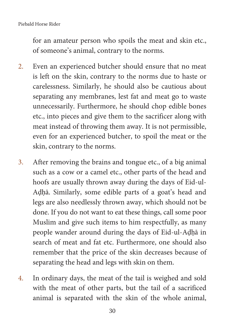for an amateur person who spoils the meat and skin etc., of someone's animal, contrary to the norms.

- 2. Even an experienced butcher should ensure that no meat is left on the skin, contrary to the norms due to haste or carelessness. Similarly, he should also be cautious about separating any membranes, lest fat and meat go to waste unnecessarily. Furthermore, he should chop edible bones etc., into pieces and give them to the sacrificer along with meat instead of throwing them away. It is not permissible, even for an experienced butcher, to spoil the meat or the skin, contrary to the norms.
- 3. After removing the brains and tongue etc., of a big animal such as a cow or a camel etc., other parts of the head and hoofs are usually thrown away during the days of Eid-ul-Adhā. Similarly, some edible parts of a goat's head and legs are also needlessly thrown away, which should not be done. If you do not want to eat these things, call some poor Muslim and give such items to him respectfully, as many people wander around during the days of Eid-ul-Adhā in search of meat and fat etc. Furthermore, one should also remember that the price of the skin decreases because of separating the head and legs with skin on them.
- 4. In ordinary days, the meat of the tail is weighed and sold with the meat of other parts, but the tail of a sacrificed animal is separated with the skin of the whole animal,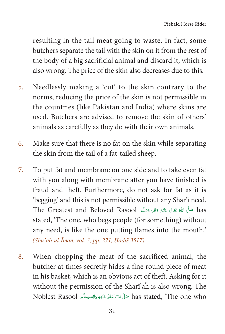resulting in the tail meat going to waste. In fact, some butchers separate the tail with the skin on it from the rest of the body of a big sacrificial animal and discard it, which is also wrong. The price of the skin also decreases due to this.

- 5. Needlessly making a 'cut' to the skin contrary to the norms, reducing the price of the skin is not permissible in the countries (like Pakistan and India) where skins are used. Butchers are advised to remove the skin of others' animals as carefully as they do with their own animals.
- 6. Make sure that there is no fat on the skin while separating the skin from the tail of a fat-tailed sheep.
- 7. To put fat and membrane on one side and to take even fat with you along with membrane after you have finished is fraud and theft. Furthermore, do not ask for fat as it is 'begging' and this is not permissible without any Shar'ī need. The Greatest and Beloved Rasool حَلَّى اللَّهَ تَعَالَى عَلَيْهِ وَالِهِ وَسَلَّمَ ا Ç Ä Ä È ȦÄ Ä Å stated, 'The one, who begs people (for something) without any need, is like the one putting flames into the mouth.'  $(Shu'ab-ul-*Imān*, vol. 3, pp. 271, Hadīš 3517)$
- 8. When chopping the meat of the sacrificed animal, the butcher at times secretly hides a fine round piece of meat in his basket, which is an obvious act of theft. Asking for it without the permission of the Sharī'aĥ is also wrong. The Noblest Rasool حَلَّى اللَّهَ تَعَالَى عَلَيْهِ وَأَلِهِ وَسَلَّمِ Noblest Rasool حَلَّى اللَّهَ تَعَالَى عَلَيْهِ Ç Ä Ä È ȦÄ Ä Å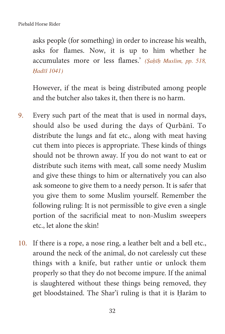asks people (for something) in order to increase his wealth, asks for flames. Now, it is up to him whether he accumulates more or less flames.' (Sahīh Muslim, pp. 518, Hadīš 1041)

However, if the meat is being distributed among people and the butcher also takes it, then there is no harm.

- 9. Every such part of the meat that is used in normal days, should also be used during the days of Qurbānī. To distribute the lungs and fat etc., along with meat having cut them into pieces is appropriate. These kinds of things should not be thrown away. If you do not want to eat or distribute such items with meat, call some needy Muslim and give these things to him or alternatively you can also ask someone to give them to a needy person. It is safer that you give them to some Muslim yourself. Remember the following ruling: It is not permissible to give even a single portion of the sacrificial meat to non-Muslim sweepers etc., let alone the skin!
- 10. If there is a rope, a nose ring, a leather belt and a bell etc., around the neck of the animal, do not carelessly cut these things with a knife, but rather untie or unlock them properly so that they do not become impure. If the animal is slaughtered without these things being removed, they get bloodstained. The Shar'i ruling is that it is Harām to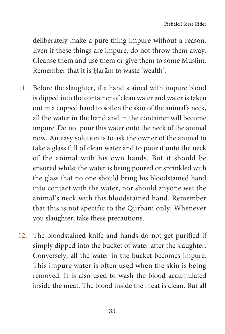deliberately make a pure thing impure without a reason. Even if these things are impure, do not throw them away. Cleanse them and use them or give them to some Muslim. Remember that it is Harām to waste 'wealth'.

- 11. Before the slaughter, if a hand stained with impure blood is dipped into the container of clean water and water is taken out in a cupped hand to soften the skin of the animal's neck, all the water in the hand and in the container will become impure. Do not pour this water onto the neck of the animal now. An easy solution is to ask the owner of the animal to take a glass full of clean water and to pour it onto the neck of the animal with his own hands. But it should be ensured whilst the water is being poured or sprinkled with the glass that no one should bring his bloodstained hand into contact with the water, nor should anyone wet the animal's neck with this bloodstained hand. Remember that this is not specific to the Qurbānī only. Whenever you slaughter, take these precautions.
- 12. The bloodstained knife and hands do not get purified if simply dipped into the bucket of water after the slaughter. Conversely, all the water in the bucket becomes impure. This impure water is often used when the skin is being removed. It is also used to wash the blood accumulated inside the meat. The blood inside the meat is clean. But all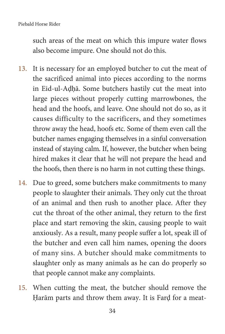such areas of the meat on which this impure water flows also become impure. One should not do this.

- 13. It is necessary for an employed butcher to cut the meat of the sacrificed animal into pieces according to the norms in Eid-ul-Aḍḥā. Some butchers hastily cut the meat into large pieces without properly cutting marrowbones, the head and the hoofs, and leave. One should not do so, as it causes difficulty to the sacrificers, and they sometimes throw away the head, hoofs etc. Some of them even call the butcher names engaging themselves in a sinful conversation instead of staying calm. If, however, the butcher when being hired makes it clear that he will not prepare the head and the hoofs, then there is no harm in not cutting these things.
- 14. Due to greed, some butchers make commitments to many people to slaughter their animals. They only cut the throat of an animal and then rush to another place. After they cut the throat of the other animal, they return to the first place and start removing the skin, causing people to wait anxiously. As a result, many people suffer a lot, speak ill of the butcher and even call him names, opening the doors of many sins. A butcher should make commitments to slaughter only as many animals as he can do properly so that people cannot make any complaints.
- 15. When cutting the meat, the butcher should remove the Harām parts and throw them away. It is Fard for a meat-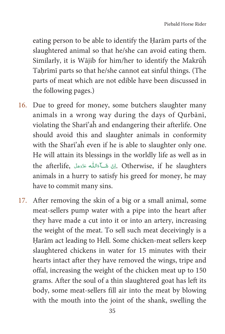eating person to be able to identify the Harām parts of the slaughtered animal so that he/she can avoid eating them. Similarly, it is Wājib for him/her to identify the Makrūĥ Tahrīmī parts so that he/she cannot eat sinful things. (The parts of meat which are not edible have been discussed in the following pages.)

- 16. Due to greed for money, some butchers slaughter many animals in a wrong way during the days of Qurbānī, violating the Sharī'aĥ and endangering their afterlife. One should avoid this and slaughter animals in conformity with the Sharī'aĥ even if he is able to slaughter only one. He will attain its blessings in the worldly life as well as in the afterlife, أَرْنَ شَكَآءَاللّه عَزَّدَجَلَّ ,Otherwise, if he slaughters animals in a hurry to satisfy his greed for money, he may have to commit many sins.
- 17. After removing the skin of a big or a small animal, some meat-sellers pump water with a pipe into the heart after they have made a cut into it or into an artery, increasing the weight of the meat. To sell such meat deceivingly is a Harām act leading to Hell. Some chicken-meat sellers keep slaughtered chickens in water for 15 minutes with their hearts intact after they have removed the wings, tripe and offal, increasing the weight of the chicken meat up to 150 grams. After the soul of a thin slaughtered goat has left its body, some meat-sellers fill air into the meat by blowing with the mouth into the joint of the shank, swelling the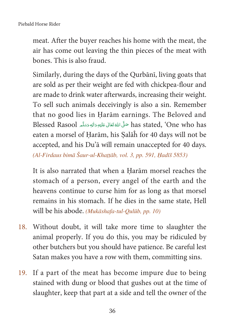Piebald Horse Rider

meat. After the buyer reaches his home with the meat, the air has come out leaving the thin pieces of the meat with bones. This is also fraud

Similarly, during the days of the Qurbānī, living goats that are sold as per their weight are fed with chickpea-flour and are made to drink water afterwards, increasing their weight. To sell such animals deceivingly is also a sin. Remember that no good lies in Harām earnings. The Beloved and has stated, 'One who has حَلَّى اللهُ تَعَالَى عَلَيْهِ وَالِهِ وَسَلَّعِ Blessed Rasool eaten a morsel of Harām, his Salāh for 40 days will not be accepted, and his Du'a will remain unaccepted for 40 days. (Al-Firdaus bimā Šaur-ul-Khattāb, vol. 3, pp. 591, Hadīš 5853)

It is also narrated that when a Harām morsel reaches the stomach of a person, every angel of the earth and the heavens continue to curse him for as long as that morsel remains in his stomach. If he dies in the same state, Hell will be his abode. (Mukāshafa-tul-Qulūb, pp. 10)

- 18. Without doubt, it will take more time to slaughter the animal properly. If you do this, you may be ridiculed by other butchers but you should have patience. Be careful lest Satan makes you have a row with them, committing sins.
- If a part of the meat has become impure due to being 19. stained with dung or blood that gushes out at the time of slaughter, keep that part at a side and tell the owner of the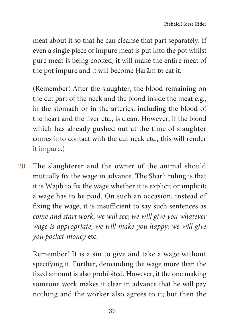meat about it so that he can cleanse that part separately. If even a single piece of impure meat is put into the pot whilst pure meat is being cooked, it will make the entire meat of the pot impure and it will become Harām to eat it.

(Remember! After the slaughter, the blood remaining on the cut part of the neck and the blood inside the meat e.g., in the stomach or in the arteries, including the blood of the heart and the liver etc., is clean. However, if the blood which has already gushed out at the time of slaughter comes into contact with the cut neck etc., this will render it impure.)

20. The slaughterer and the owner of the animal should mutually fix the wage in advance. The Shar'ī ruling is that it is Wājib to fix the wage whether it is explicit or implicit; a wage has to be paid. On such an occasion, instead of fixing the wage, it is insufficient to say such sentences as come and start work, we will see; we will give you whatever wage is appropriate; we will make you happy; we will give you pocket-money etc.

Remember! It is a sin to give and take a wage without specifying it. Further, demanding the wage more than the fixed amount is also prohibited. However, if the one making someone work makes it clear in advance that he will pay nothing and the worker also agrees to it; but then the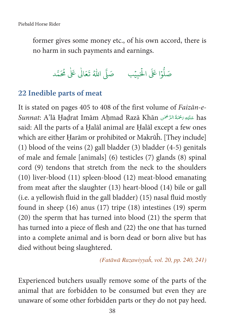former gives some money etc., of his own accord, there is no harm in such payments and earnings.

صَلُّوْا عَلَى الْحَبِيْبِ مَ صَلَّى اللَّهُ تَعَالٰى عَلٰى مُحَمَّد

#### 22 Inedible parts of meat

It is stated on pages 405 to 408 of the first volume of Faizan-e-Sunnat: A'lā Ḥaḍrat Imām Aḥmad Razā Khān عَلَيْهِ رَحْمَةُ الرَّحْمَٰنِ has said: All the parts of a Halal animal are Halal except a few ones which are either Harām or prohibited or Makrūĥ. [They include] (1) blood of the veins  $(2)$  gall bladder  $(3)$  bladder  $(4-5)$  genitals of male and female [animals] (6) testicles (7) glands (8) spinal cord (9) tendons that stretch from the neck to the shoulders  $(10)$  liver-blood  $(11)$  spleen-blood  $(12)$  meat-blood emanating from meat after the slaughter (13) heart-blood (14) bile or gall (i.e. a yellowish fluid in the gall bladder) (15) nasal fluid mostly found in sheep  $(16)$  anus  $(17)$  tripe  $(18)$  intestines  $(19)$  sperm (20) the sperm that has turned into blood (21) the sperm that has turned into a piece of flesh and (22) the one that has turned into a complete animal and is born dead or born alive but has died without being slaughtered.

(Fatāwā Razawiyyah, vol. 20, pp. 240, 241)

Experienced butchers usually remove some of the parts of the animal that are forbidden to be consumed but even they are unaware of some other forbidden parts or they do not pay heed.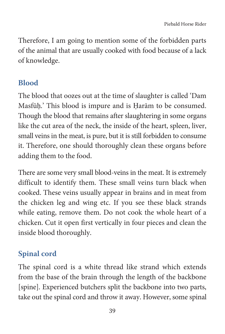Therefore, I am going to mention some of the forbidden parts of the animal that are usually cooked with food because of a lack of knowledge.

#### **Blood**

The blood that oozes out at the time of slaughter is called 'Dam Masfūḥ.' This blood is impure and is Harām to be consumed. Though the blood that remains after slaughtering in some organs like the cut area of the neck, the inside of the heart, spleen, liver, small veins in the meat, is pure, but it is still forbidden to consume it. Therefore, one should thoroughly clean these organs before adding them to the food.

There are some very small blood-veins in the meat. It is extremely difficult to identify them. These small veins turn black when cooked. These veins usually appear in brains and in meat from the chicken leg and wing etc. If you see these black strands while eating, remove them. Do not cook the whole heart of a chicken. Cut it open first vertically in four pieces and clean the inside blood thoroughly.

#### **Spinal cord**

The spinal cord is a white thread like strand which extends from the base of the brain through the length of the backbone [spine]. Experienced butchers split the backbone into two parts, take out the spinal cord and throw it away. However, some spinal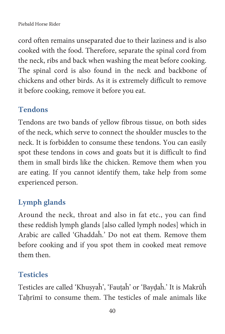#### Piebald Horse Rider

cord often remains unseparated due to their laziness and is also cooked with the food. Therefore, separate the spinal cord from the neck, ribs and back when washing the meat before cooking. The spinal cord is also found in the neck and backbone of chickens and other birds. As it is extremely difficult to remove it before cooking, remove it before you eat.

#### **Tendons**

Tendons are two bands of yellow fibrous tissue, on both sides of the neck, which serve to connect the shoulder muscles to the neck. It is forbidden to consume these tendons. You can easily spot these tendons in cows and goats but it is difficult to find them in small birds like the chicken. Remove them when you are eating. If you cannot identify them, take help from some experienced person.

#### **Lymph glands**

Around the neck, throat and also in fat etc., you can find these reddish lymph glands [also called lymph nodes] which in Arabic are called 'Ghaddaĥ.' Do not eat them. Remove them before cooking and if you spot them in cooked meat remove them then.

#### **Testicles**

Testicles are called 'Khusyaĥ', 'Fautaĥ' or 'Baydaĥ.' It is Makrūĥ Tahrīmī to consume them. The testicles of male animals like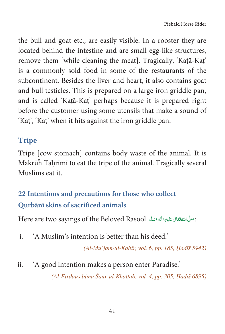the bull and goat etc., are easily visible. In a rooster they are located behind the intestine and are small egg-like structures, remove them [while cleaning the meat]. Tragically, 'Katā-Kat' is a commonly sold food in some of the restaurants of the subcontinent. Besides the liver and heart, it also contains goat and bull testicles. This is prepared on a large iron griddle pan, and is called 'Kaṭā-Kaṭ' perhaps because it is prepared right before the customer using some utensils that make a sound of 'Kat', 'Kat' when it hits against the iron griddle pan.

#### **Tripe**

Tripe [cow stomach] contains body waste of the animal. It is Makrūĥ Tahrīmī to eat the tripe of the animal. Tragically several Muslims eat it.

### 22 Intentions and precautions for those who collect Qurbānī skins of sacrificed animals

: صَلَّى اللهُ تَعَالَى عَلَيْهِ وَاللهِ وَسَلَّع Here are two sayings of the Beloved Rasool

'A Muslim's intention is better than his deed.' i.

(Al-Mu'jam-ul-Kabīr, vol. 6, pp. 185, Hadīš 5942)

'A good intention makes a person enter Paradise.' ii.

(Al-Firdaus bimā Šaur-ul-Khațțāb, vol. 4, pp. 305, Hadīš 6895)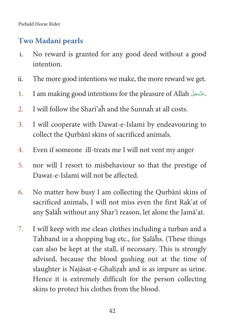#### **Two Madanī pearls**

- i. No reward is granted for any good deed without a good intention.
- ii. The more good intentions we make, the more reward we get.
- 1. I am making good intentions for the pleasure of Allah آغَزَّجَلَ am making good intentions for the pleasure of Allah.
- 2. I will follow the Sharī'aĥ and the Sunnaĥ at all costs.
- 3. I will cooperate with Dawat-e-Islami by endeavouring to collect the Qurbānī skins of sacrificed animals.
- 4. Even if someone ill-treats me I will not vent my anger
- 5. nor will I resort to misbehaviour so that the prestige of Dawat-e-Islami will not be affected.
- 6. No matter how busy I am collecting the Qurbānī skins of sacrificed animals, I will not miss even the first Rak'at of any ৡalāĥ without any Shar'ī reason, let alone the Jamā'at.
- 7. I will keep with me clean clothes including a turban and a Taĥband in a shopping bag etc., for ৡalāĥs. (These things can also be kept at the stall, if necessary. This is strongly advised, because the blood gushing out at the time of slaughter is Najāsat-e-Ghalīzaĥ and is as impure as urine. Hence it is extremely difficult for the person collecting skins to protect his clothes from the blood.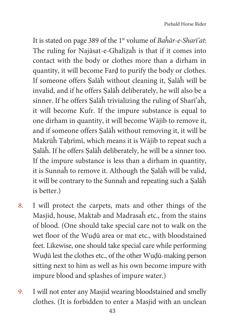It is stated on page 389 of the  $1<sup>st</sup>$  volume of Bahar-e-Shari'at: The ruling for Najāsat-e-Ghalīzaĥ is that if it comes into contact with the body or clothes more than a dirham in quantity, it will become Fard to purify the body or clothes. If someone offers ৡalāĥ without cleaning it, ৡalāĥ will be invalid, and if he offers ৡalāĥ deliberately, he will also be a sinner. If he offers ৡalāĥ trivializing the ruling of Sharī'aĥ, it will become Kufr. If the impure substance is equal to one dirham in quantity, it will become Wājib to remove it, and if someone offers ৡalāĥ without removing it, it will be Makrūĥ Taḥrīmī, which means it is Wājib to repeat such a ৡalāĥ. If he offers ৡalāĥ deliberately, he will be a sinner too. If the impure substance is less than a dirham in quantity, it is Sunnaĥ to remove it. Although the ৡalāĥ will be valid, it will be contrary to the Sunnaĥ and repeating such a ৡalāĥ is better.)

- 8. I will protect the carpets, mats and other things of the Masjid, house, Maktab and Madrasaĥ etc., from the stains of blood. (One should take special care not to walk on the wet floor of the Wudū area or mat etc., with bloodstained feet. Likewise, one should take special care while performing Wuḍū lest the clothes etc., of the other Wuḍū-making person sitting next to him as well as his own become impure with impure blood and splashes of impure water.)
- 9. I will not enter any Masjid wearing bloodstained and smelly clothes. (It is forbidden to enter a Masjid with an unclean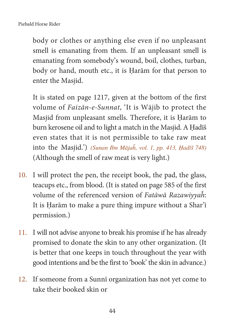body or clothes or anything else even if no unpleasant smell is emanating from them. If an unpleasant smell is emanating from somebody's wound, boil, clothes, turban, body or hand, mouth etc., it is Harām for that person to enter the Masjid.

It is stated on page 1217, given at the bottom of the first volume of Faizān-e-Sunnat, 'It is Wājib to protect the Masjid from unpleasant smells. Therefore, it is Harām to burn kerosene oil and to light a match in the Masjid. A Hadīš even states that it is not permissible to take raw meat into the Masjid.') (Sunan Ibn Mājaĥ, vol. 1, pp. 413, Hadīš 748) (Although the smell of raw meat is very light.)

- 10. I will protect the pen, the receipt book, the pad, the glass, teacups etc., from blood. (It is stated on page 585 of the first volume of the referenced version of Fatāwā Razawiyyaĥ: It is Harām to make a pure thing impure without a Shar'i permission.)
- 11. I will not advise anyone to break his promise if he has already promised to donate the skin to any other organization. (It is better that one keeps in touch throughout the year with good intentions and be the first to 'book' the skin in advance.)
- 12. If someone from a Sunnī organization has not yet come to take their booked skin or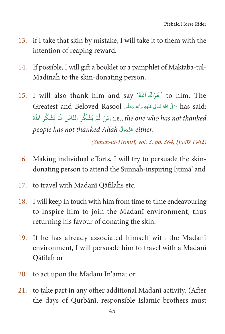- if I take that skin by mistake, I will take it to them with the 13. intention of reaping reward.
- If possible, I will gift a booklet or a pamphlet of Maktaba-tul-14. Madinah to the skin-donating person.
- I will also thank him and say 'جَزَاكَ اللَّهُ ' to him. The 15. has said: صَلَّى اللهُ تَعَالَى عَلَيْهِ وَالِهِ وَسَلَّمِ Greatest and Beloved Rasool i.e., the one who has not thanked, مَنْ لَّمْ يَشْكُر النَّاسَ لَمْ يَشْكُر اللَّهَ people has not thanked Allah عَذَّدَجَلَّ either.

(Sunan-ut-Tirmizī, vol. 3, pp. 384, Hadīš 1962)

- Making individual efforts, I will try to persuade the skin-16. donating person to attend the Sunnah-inspiring Ijtima' and
- 17. to travel with Madanī Qāfilaĥs etc.
- 18. I will keep in touch with him from time to time endeavouring to inspire him to join the Madanī environment, thus returning his favour of donating the skin.
- 19. If he has already associated himself with the Madani environment, I will persuade him to travel with a Madanī Qāfilah or
- 20. to act upon the Madani In'amat or
- 21. to take part in any other additional Madanī activity. (After the days of Qurbānī, responsible Islamic brothers must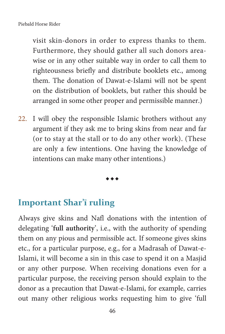visit skin-donors in order to express thanks to them. Furthermore, they should gather all such donors areawise or in any other suitable way in order to call them to righteousness briefly and distribute booklets etc., among them. The donation of Dawat-e-Islami will not be spent on the distribution of booklets, but rather this should be arranged in some other proper and permissible manner.)

22. I will obey the responsible Islamic brothers without any argument if they ask me to bring skins from near and far (or to stay at the stall or to do any other work). (These are only a few intentions. One having the knowledge of intentions can make many other intentions.)

#### $\bullet\bullet\bullet$

#### **Important Shar'i ruling**

Always give skins and Nafl donations with the intention of delegating '**full authority**', i.e., with the authority of spending them on any pious and permissible act. If someone gives skins etc., for a particular purpose, e.g., for a Madrasaĥ of Dawat-e-Islami, it will become a sin in this case to spend it on a Masjid or any other purpose. When receiving donations even for a particular purpose, the receiving person should explain to the donor as a precaution that Dawat-e-Islami, for example, carries out many other religious works requesting him to give 'full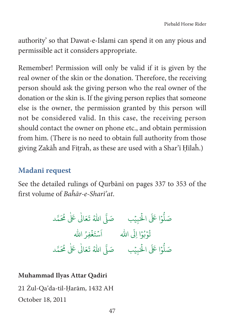authority' so that Dawat-e-Islami can spend it on any pious and permissible act it considers appropriate.

Remember! Permission will only be valid if it is given by the real owner of the skin or the donation. Therefore, the receiving person should ask the giving person who the real owner of the donation or the skin is. If the giving person replies that someone else is the owner, the permission granted by this person will not be considered valid. In this case, the receiving person should contact the owner on phone etc., and obtain permission from him. (There is no need to obtain full authority from those giving Zakāĥ and Fiṭraĥ, as these are used with a Shar'ī Ḥīlaĥ.)

#### **Madanī request**

See the detailed rulings of Qurbānī on pages 337 to 353 of the first volume of Baĥār-e-Sharī'at.

j ĸ h û ơA hh ȇAû ź Ġ Ű h <sup>Ŕ</sup> <sup>û</sup> Ķž iġ ĬA ğ <sup>ǔ</sup> <sup>h</sup> <sup>&#</sup>x27;n <sup>Ŕ</sup> <sup>ğ</sup> ų hi Ƥ h ȇ Ǔĵh š h ȩ ġ ĬA h ǓjAAû ź i Ʌ û ź i Ļ ġ ĬAi ŋŧj û Ť h ļ û Ŏ <sup>h</sup> <sup>A</sup> j ĸ h û ơA hh ȇAû ź Ġ Ű h <sup>Ŕ</sup> <sup>û</sup> Ķž iġ ĬA ğ <sup>ǔ</sup> <sup>h</sup> <sup>&#</sup>x27;n <sup>Ŕ</sup> <sup>ğ</sup> ų hi Ƥ h ȇ Ǔĵh š h ȩ

#### **Muhammad Ilyas Attar Qadiri**

21 Żul-Qa'da-til-ণarām, 1432 AH

October 18, 2011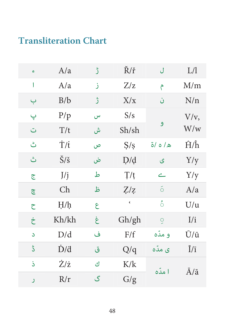# **Transliteration Chart**

| ¢                            | A/a                   | ڑ | Ř/ř                      | ل                        | L/1                         |
|------------------------------|-----------------------|---|--------------------------|--------------------------|-----------------------------|
| I                            | A/a                   | ز | Z/z                      | م                        | M/m                         |
| ب                            | B/b                   | ڙ | X/x                      | ن                        | N/n                         |
| پ                            | P/p                   | س | S/s                      |                          | $V/v$ ,                     |
| ت                            | T/t                   | ش | Sh/sh                    | و                        | W/w                         |
| ٹ                            | T/t                   | ص | S/s                      | ه/ه/ة                    | $\hat{H}/\hat{h}$           |
| ث                            | $\check{S}/\check{s}$ | ض | D/d                      | ى                        | Y/y                         |
| ج                            | J/j                   | ط | T/t                      | $\overline{\phantom{a}}$ | Y/y                         |
| ڇ                            | Ch                    | ظ | Z/z                      | б                        | A/a                         |
| ح                            | H/h                   | ع | $\boldsymbol{\varsigma}$ | ំ                        | U/u                         |
| خ                            | Kh/kh                 | غ | Gh/gh                    | ò,                       | I/i                         |
| S                            | D/d                   | ف | F/f                      | و مدّه                   | Ū/ū                         |
| $\mathcal{L}^{\mathfrak{b}}$ | $\dot{D}/d$           | ق | Q/q                      | ی مدّہ                   | $\overline{I}/\overline{I}$ |
| ذ                            | Ż/ż                   | ك | K/k                      | ا مدّه                   | $\bar{A}/\bar{a}$           |
| ر                            | R/r                   | گ | G/g                      |                          |                             |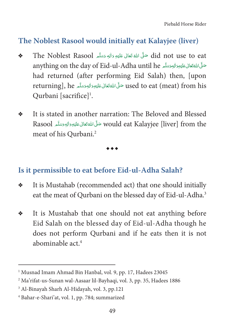Piebald Horse Rider

#### **The Noblest Rasool would initially eat Kalayjee (liver)**

- $\bullet$  The Noblest Rasool حَلَّى اللَّهُ تَعَالَى عَلَيْهِ وَأَلِهٖ وَسَلَّم أَهْمَا  $\mathrm{did} \, \, \mathrm{not} \, \, \mathrm{use} \, \, \mathrm{to} \, \, \mathrm{eat}$ Ä È ȦÄ Ä Å Ç anything on the day of Eid-ul-Adha until he متلَّى اللهَ تَعَالى عَلَيْهِ وَالْجِرَسَلَّا مِ Ä È ȦÄ Ä Å Ç Ä had returned (after performing Eid Salah) then, [upon returning], he حَلَّى اللَّهُ تَعَالَى عَلَيْهِ وَالْهِدَسَلَّم returning], he حَلَّى اللَّهُ تَعَالَى عَلَيْهِ Ä È ȦÄ Ä Å Ç Qurbani [sacrifice]<sup>1</sup>.
- It is stated in another narration: The Beloved and Blessed Rasool حَلَّى اللَّهُ تَعَالَى عَلَيْهِ وَالِهِ وَسَلَّمَ Rasool Ä È ȦÄ Ä Å Ç meat of his Qurbani.2

 $\bullet\bullet\bullet$ 

#### **Is it permissible to eat before Eid-ul-Adha Salah?**

- It is Mustahab (recommended act) that one should initially eat the meat of Qurbani on the blessed day of Eid-ul-Adha.<sup>3</sup>
- It is Mustahab that one should not eat anything before Eid Salah on the blessed day of Eid-ul-Adha though he does not perform Qurbani and if he eats then it is not abominable act.<sup>4</sup>

<sup>1</sup> Musnad Imam Ahmad Bin Hanbal, vol. 9, pp. 17, Hadees 23045

<sup>2</sup> Ma'rifat-us-Sunan wal-Aasaar lil-Bayhaqi, vol. 3, pp. 35, Hadees 1886

<sup>3</sup> Al-Binayah Sharh Al-Hidayah, vol. 3, pp.121

<sup>4</sup> Bahar-e-Shari'at, vol. 1, pp. 784; summarized